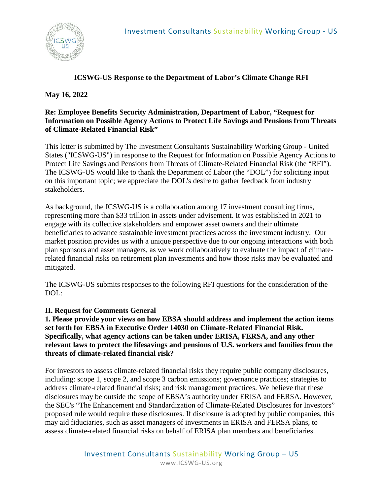# **ICSWG-US Response to the Department of Labor's Climate Change RFI**

# **May 16, 2022**

# **Re: Employee Benefits Security Administration, Department of Labor, "Request for Information on Possible Agency Actions to Protect Life Savings and Pensions from Threats of Climate-Related Financial Risk"**

This letter is submitted by The Investment Consultants Sustainability Working Group - United States ("ICSWG-US") in response to the Request for Information on Possible Agency Actions to Protect Life Savings and Pensions from Threats of Climate-Related Financial Risk (the "RFI"). The ICSWG-US would like to thank the Department of Labor (the "DOL") for soliciting input on this important topic; we appreciate the DOL's desire to gather feedback from industry stakeholders.

As background, the ICSWG-US is a collaboration among 17 investment consulting firms, representing more than \$33 trillion in assets under advisement. It was established in 2021 to engage with its collective stakeholders and empower asset owners and their ultimate beneficiaries to advance sustainable investment practices across the investment industry. Our market position provides us with a unique perspective due to our ongoing interactions with both plan sponsors and asset managers, as we work collaboratively to evaluate the impact of climaterelated financial risks on retirement plan investments and how those risks may be evaluated and mitigated.

The ICSWG-US submits responses to the following RFI questions for the consideration of the DOL:

# **II. Request for Comments General**

**1. Please provide your views on how EBSA should address and implement the action items set forth for EBSA in Executive Order 14030 on Climate-Related Financial Risk. Specifically, what agency actions can be taken under ERISA, FERSA, and any other relevant laws to protect the lifesavings and pensions of U.S. workers and families from the threats of climate-related financial risk?** 

For investors to assess climate-related financial risks they require public company disclosures, including: scope 1, scope 2, and scope 3 carbon emissions; governance practices; strategies to address climate-related financial risks; and risk management practices. We believe that these disclosures may be outside the scope of EBSA's authority under ERISA and FERSA. However, the SEC's "The Enhancement and Standardization of Climate-Related Disclosures for Investors" proposed rule would require these disclosures. If disclosure is adopted by public companies, this may aid fiduciaries, such as asset managers of investments in ERISA and FERSA plans, to assess climate-related financial risks on behalf of ERISA plan members and beneficiaries.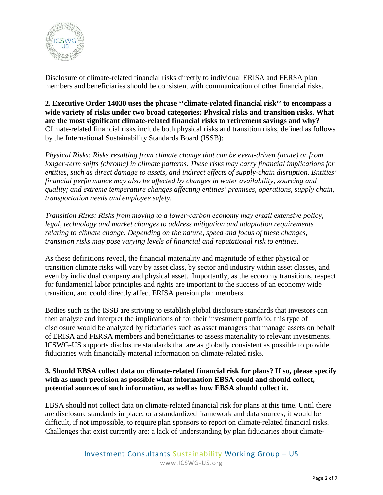

Disclosure of climate-related financial risks directly to individual ERISA and FERSA plan members and beneficiaries should be consistent with communication of other financial risks.

**2. Executive Order 14030 uses the phrase ''climate-related financial risk'' to encompass a wide variety of risks under two broad categories: Physical risks and transition risks. What are the most significant climate-related financial risks to retirement savings and why?**  Climate-related financial risks include both physical risks and transition risks, defined as follows by the International Sustainability Standards Board (ISSB):

*Physical Risks: Risks resulting from climate change that can be event-driven (acute) or from longer-term shifts (chronic) in climate patterns. These risks may carry financial implications for entities, such as direct damage to assets, and indirect effects of supply-chain disruption. Entities' financial performance may also be affected by changes in water availability, sourcing and quality; and extreme temperature changes affecting entities' premises, operations, supply chain, transportation needs and employee safety.*

*Transition Risks: Risks from moving to a lower-carbon economy may entail extensive policy, legal, technology and market changes to address mitigation and adaptation requirements relating to climate change. Depending on the nature, speed and focus of these changes, transition risks may pose varying levels of financial and reputational risk to entities.*

As these definitions reveal, the financial materiality and magnitude of either physical or transition climate risks will vary by asset class, by sector and industry within asset classes, and even by individual company and physical asset. Importantly, as the economy transitions, respect for fundamental labor principles and rights are important to the success of an economy wide transition, and could directly affect ERISA pension plan members.

Bodies such as the ISSB are striving to establish global disclosure standards that investors can then analyze and interpret the implications of for their investment portfolio; this type of disclosure would be analyzed by fiduciaries such as asset managers that manage assets on behalf of ERISA and FERSA members and beneficiaries to assess materiality to relevant investments. ICSWG-US supports disclosure standards that are as globally consistent as possible to provide fiduciaries with financially material information on climate-related risks.

#### **3. Should EBSA collect data on climate-related financial risk for plans? If so, please specify with as much precision as possible what information EBSA could and should collect, potential sources of such information, as well as how EBSA should collect it.**

EBSA should not collect data on climate-related financial risk for plans at this time. Until there are disclosure standards in place, or a standardized framework and data sources, it would be difficult, if not impossible, to require plan sponsors to report on climate-related financial risks. Challenges that exist currently are: a lack of understanding by plan fiduciaries about climate-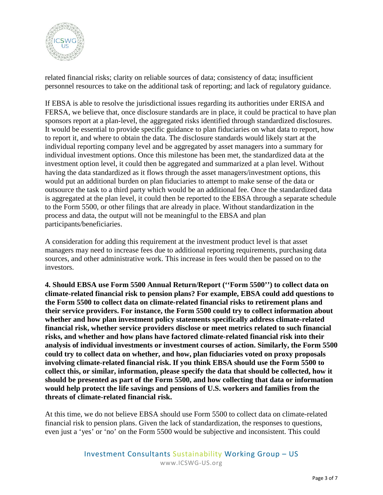

related financial risks; clarity on reliable sources of data; consistency of data; insufficient personnel resources to take on the additional task of reporting; and lack of regulatory guidance.

If EBSA is able to resolve the jurisdictional issues regarding its authorities under ERISA and FERSA, we believe that, once disclosure standards are in place, it could be practical to have plan sponsors report at a plan-level, the aggregated risks identified through standardized disclosures. It would be essential to provide specific guidance to plan fiduciaries on what data to report, how to report it, and where to obtain the data. The disclosure standards would likely start at the individual reporting company level and be aggregated by asset managers into a summary for individual investment options. Once this milestone has been met, the standardized data at the investment option level, it could then be aggregated and summarized at a plan level. Without having the data standardized as it flows through the asset managers/investment options, this would put an additional burden on plan fiduciaries to attempt to make sense of the data or outsource the task to a third party which would be an additional fee. Once the standardized data is aggregated at the plan level, it could then be reported to the EBSA through a separate schedule to the Form 5500, or other filings that are already in place. Without standardization in the process and data, the output will not be meaningful to the EBSA and plan participants/beneficiaries.

A consideration for adding this requirement at the investment product level is that asset managers may need to increase fees due to additional reporting requirements, purchasing data sources, and other administrative work. This increase in fees would then be passed on to the investors.

**4. Should EBSA use Form 5500 Annual Return/Report (''Form 5500'') to collect data on climate-related financial risk to pension plans? For example, EBSA could add questions to the Form 5500 to collect data on climate-related financial risks to retirement plans and their service providers. For instance, the Form 5500 could try to collect information about whether and how plan investment policy statements specifically address climate-related financial risk, whether service providers disclose or meet metrics related to such financial risks, and whether and how plans have factored climate-related financial risk into their analysis of individual investments or investment courses of action. Similarly, the Form 5500 could try to collect data on whether, and how, plan fiduciaries voted on proxy proposals involving climate-related financial risk. If you think EBSA should use the Form 5500 to collect this, or similar, information, please specify the data that should be collected, how it should be presented as part of the Form 5500, and how collecting that data or information would help protect the life savings and pensions of U.S. workers and families from the threats of climate-related financial risk.**

At this time, we do not believe EBSA should use Form 5500 to collect data on climate-related financial risk to pension plans. Given the lack of standardization, the responses to questions, even just a 'yes' or 'no' on the Form 5500 would be subjective and inconsistent. This could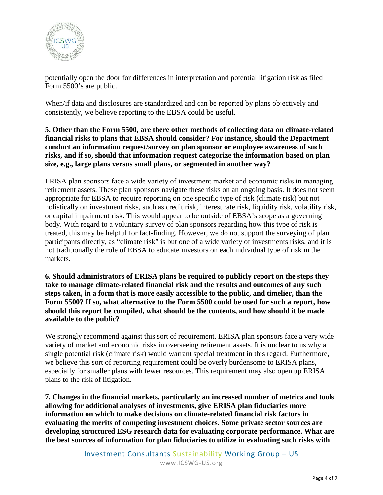

potentially open the door for differences in interpretation and potential litigation risk as filed Form 5500's are public.

When/if data and disclosures are standardized and can be reported by plans objectively and consistently, we believe reporting to the EBSA could be useful.

**5. Other than the Form 5500, are there other methods of collecting data on climate-related financial risks to plans that EBSA should consider? For instance, should the Department conduct an information request/survey on plan sponsor or employee awareness of such risks, and if so, should that information request categorize the information based on plan size, e.g., large plans versus small plans, or segmented in another way?**

ERISA plan sponsors face a wide variety of investment market and economic risks in managing retirement assets. These plan sponsors navigate these risks on an ongoing basis. It does not seem appropriate for EBSA to require reporting on one specific type of risk (climate risk) but not holistically on investment risks, such as credit risk, interest rate risk, liquidity risk, volatility risk, or capital impairment risk. This would appear to be outside of EBSA's scope as a governing body. With regard to a voluntary survey of plan sponsors regarding how this type of risk is treated, this may be helpful for fact-finding. However, we do not support the surveying of plan participants directly, as "climate risk" is but one of a wide variety of investments risks, and it is not traditionally the role of EBSA to educate investors on each individual type of risk in the markets.

**6. Should administrators of ERISA plans be required to publicly report on the steps they take to manage climate-related financial risk and the results and outcomes of any such steps taken, in a form that is more easily accessible to the public, and timelier, than the Form 5500? If so, what alternative to the Form 5500 could be used for such a report, how should this report be compiled, what should be the contents, and how should it be made available to the public?**

We strongly recommend against this sort of requirement. ERISA plan sponsors face a very wide variety of market and economic risks in overseeing retirement assets. It is unclear to us why a single potential risk (climate risk) would warrant special treatment in this regard. Furthermore, we believe this sort of reporting requirement could be overly burdensome to ERISA plans, especially for smaller plans with fewer resources. This requirement may also open up ERISA plans to the risk of litigation.

**7. Changes in the financial markets, particularly an increased number of metrics and tools allowing for additional analyses of investments, give ERISA plan fiduciaries more information on which to make decisions on climate-related financial risk factors in evaluating the merits of competing investment choices. Some private sector sources are developing structured ESG research data for evaluating corporate performance. What are the best sources of information for plan fiduciaries to utilize in evaluating such risks with** 

> Investment Consultants Sustainability Working Group – US www.ICSWG-US.org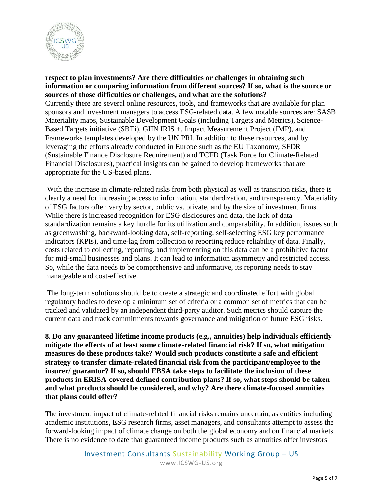

**respect to plan investments? Are there difficulties or challenges in obtaining such information or comparing information from different sources? If so, what is the source or sources of those difficulties or challenges, and what are the solutions?**  Currently there are several online resources, tools, and frameworks that are available for plan sponsors and investment managers to access ESG-related data. A few notable sources are: SASB Materiality maps, Sustainable Development Goals (including Targets and Metrics), Science-Based Targets initiative (SBTi), GIIN IRIS +, Impact Measurement Project (IMP), and Frameworks templates developed by the UN PRI. In addition to these resources, and by leveraging the efforts already conducted in Europe such as the EU Taxonomy, SFDR (Sustainable Finance Disclosure Requirement) and TCFD (Task Force for Climate-Related Financial Disclosures), practical insights can be gained to develop frameworks that are appropriate for the US-based plans.

With the increase in climate-related risks from both physical as well as transition risks, there is clearly a need for increasing access to information, standardization, and transparency. Materiality of ESG factors often vary by sector, public vs. private, and by the size of investment firms. While there is increased recognition for ESG disclosures and data, the lack of data standardization remains a key hurdle for its utilization and comparability. In addition, issues such as greenwashing, backward-looking data, self-reporting, self-selecting ESG key performance indicators (KPIs), and time-lag from collection to reporting reduce reliability of data. Finally, costs related to collecting, reporting, and implementing on this data can be a prohibitive factor for mid-small businesses and plans. It can lead to information asymmetry and restricted access. So, while the data needs to be comprehensive and informative, its reporting needs to stay manageable and cost-effective.

The long-term solutions should be to create a strategic and coordinated effort with global regulatory bodies to develop a minimum set of criteria or a common set of metrics that can be tracked and validated by an independent third-party auditor. Such metrics should capture the current data and track commitments towards governance and mitigation of future ESG risks.

**8. Do any guaranteed lifetime income products (e.g., annuities) help individuals efficiently mitigate the effects of at least some climate-related financial risk? If so, what mitigation measures do these products take? Would such products constitute a safe and efficient strategy to transfer climate-related financial risk from the participant/employee to the insurer/ guarantor? If so, should EBSA take steps to facilitate the inclusion of these products in ERISA-covered defined contribution plans? If so, what steps should be taken and what products should be considered, and why? Are there climate-focused annuities that plans could offer?**

The investment impact of climate-related financial risks remains uncertain, as entities including academic institutions, ESG research firms, asset managers, and consultants attempt to assess the forward-looking impact of climate change on both the global economy and on financial markets. There is no evidence to date that guaranteed income products such as annuities offer investors

> Investment Consultants Sustainability Working Group – US www.ICSWG-US.org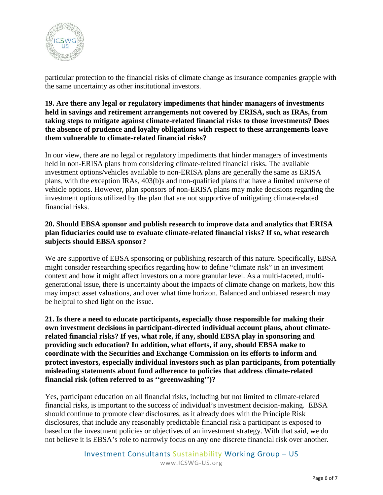

particular protection to the financial risks of climate change as insurance companies grapple with the same uncertainty as other institutional investors.

## **19. Are there any legal or regulatory impediments that hinder managers of investments held in savings and retirement arrangements not covered by ERISA, such as IRAs, from taking steps to mitigate against climate-related financial risks to those investments? Does the absence of prudence and loyalty obligations with respect to these arrangements leave them vulnerable to climate-related financial risks?**

In our view, there are no legal or regulatory impediments that hinder managers of investments held in non-ERISA plans from considering climate-related financial risks. The available investment options/vehicles available to non-ERISA plans are generally the same as ERISA plans, with the exception IRAs, 403(b)s and non-qualified plans that have a limited universe of vehicle options. However, plan sponsors of non-ERISA plans may make decisions regarding the investment options utilized by the plan that are not supportive of mitigating climate-related financial risks.

## **20. Should EBSA sponsor and publish research to improve data and analytics that ERISA plan fiduciaries could use to evaluate climate-related financial risks? If so, what research subjects should EBSA sponsor?**

We are supportive of EBSA sponsoring or publishing research of this nature. Specifically, EBSA might consider researching specifics regarding how to define "climate risk" in an investment context and how it might affect investors on a more granular level. As a multi-faceted, multigenerational issue, there is uncertainty about the impacts of climate change on markets, how this may impact asset valuations, and over what time horizon. Balanced and unbiased research may be helpful to shed light on the issue.

**21. Is there a need to educate participants, especially those responsible for making their own investment decisions in participant-directed individual account plans, about climaterelated financial risks? If yes, what role, if any, should EBSA play in sponsoring and providing such education? In addition, what efforts, if any, should EBSA make to coordinate with the Securities and Exchange Commission on its efforts to inform and protect investors, especially individual investors such as plan participants, from potentially misleading statements about fund adherence to policies that address climate-related financial risk (often referred to as ''greenwashing'')?** 

Yes, participant education on all financial risks, including but not limited to climate-related financial risks, is important to the success of individual's investment decision-making. EBSA should continue to promote clear disclosures, as it already does with the Principle Risk disclosures, that include any reasonably predictable financial risk a participant is exposed to based on the investment policies or objectives of an investment strategy. With that said, we do not believe it is EBSA's role to narrowly focus on any one discrete financial risk over another.

> Investment Consultants Sustainability Working Group – US www.ICSWG-US.org